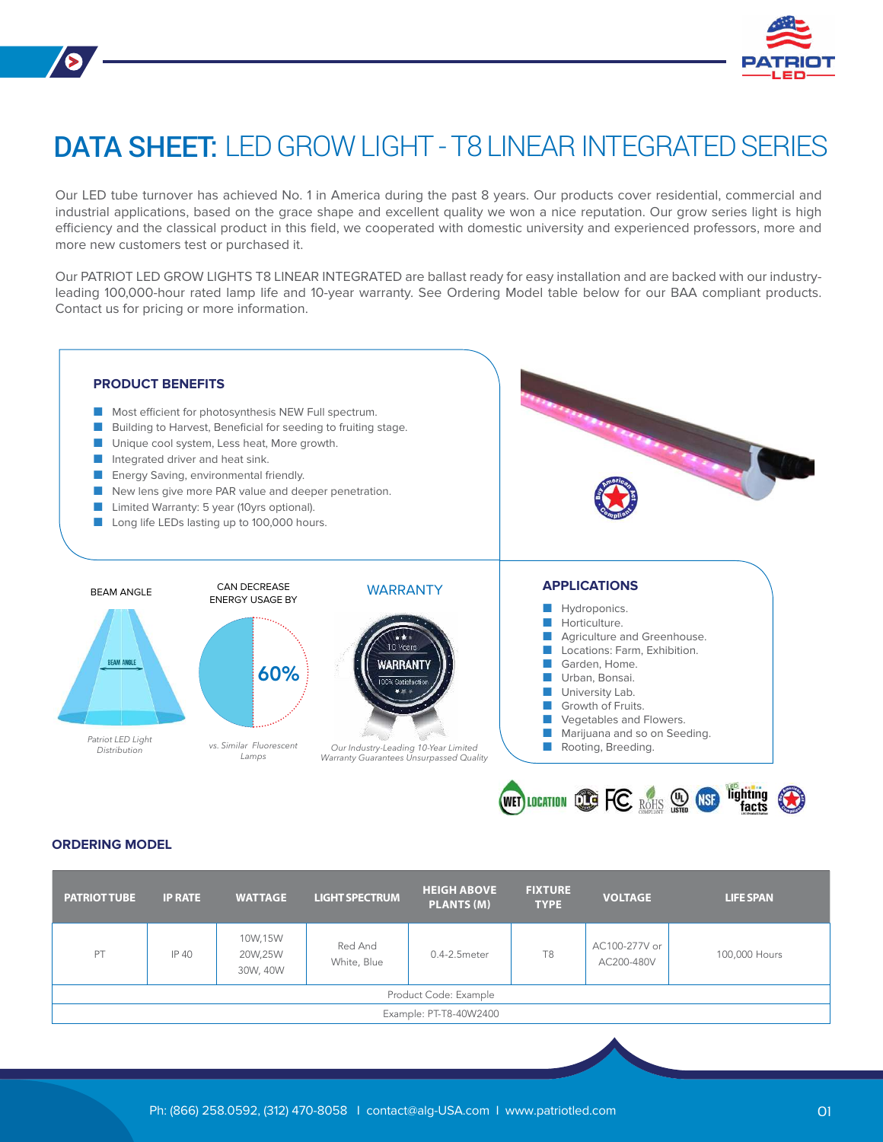

# DATA SHEET: LED GROW LIGHT - T8 LINEAR INTEGRATED SERIES

Our LED tube turnover has achieved No. 1 in America during the past 8 years. Our products cover residential, commercial and industrial applications, based on the grace shape and excellent quality we won a nice reputation. Our grow series light is high efficiency and the classical product in this field, we cooperated with domestic university and experienced professors, more and more new customers test or purchased it.

Our PATRIOT LED GROW LIGHTS T8 LINEAR INTEGRATED are ballast ready for easy installation and are backed with our industryleading 100,000-hour rated lamp life and 10-year warranty. See Ordering Model table below for our BAA compliant products. Contact us for pricing or more information.



#### **ORDERING MODEL**

| <b>PATRIOT TUBE</b>    | <b>IP RATE</b> | <b>WATTAGE</b>                 | <b>LIGHT SPECTRUM</b>  | <b>HEIGH ABOVE</b><br><b>PLANTS (M)</b> | <b>FIXTURE</b><br><b>TYPE</b> | <b>VOLTAGE</b>              | <b>LIFE SPAN</b> |
|------------------------|----------------|--------------------------------|------------------------|-----------------------------------------|-------------------------------|-----------------------------|------------------|
| PT                     | IP 40          | 10W,15W<br>20W,25W<br>30W, 40W | Red And<br>White, Blue | $0.4 - 2.5$ meter                       | T <sub>8</sub>                | AC100-277V or<br>AC200-480V | 100,000 Hours    |
| Product Code: Example  |                |                                |                        |                                         |                               |                             |                  |
| Example: PT-T8-40W2400 |                |                                |                        |                                         |                               |                             |                  |
|                        |                |                                |                        |                                         |                               |                             |                  |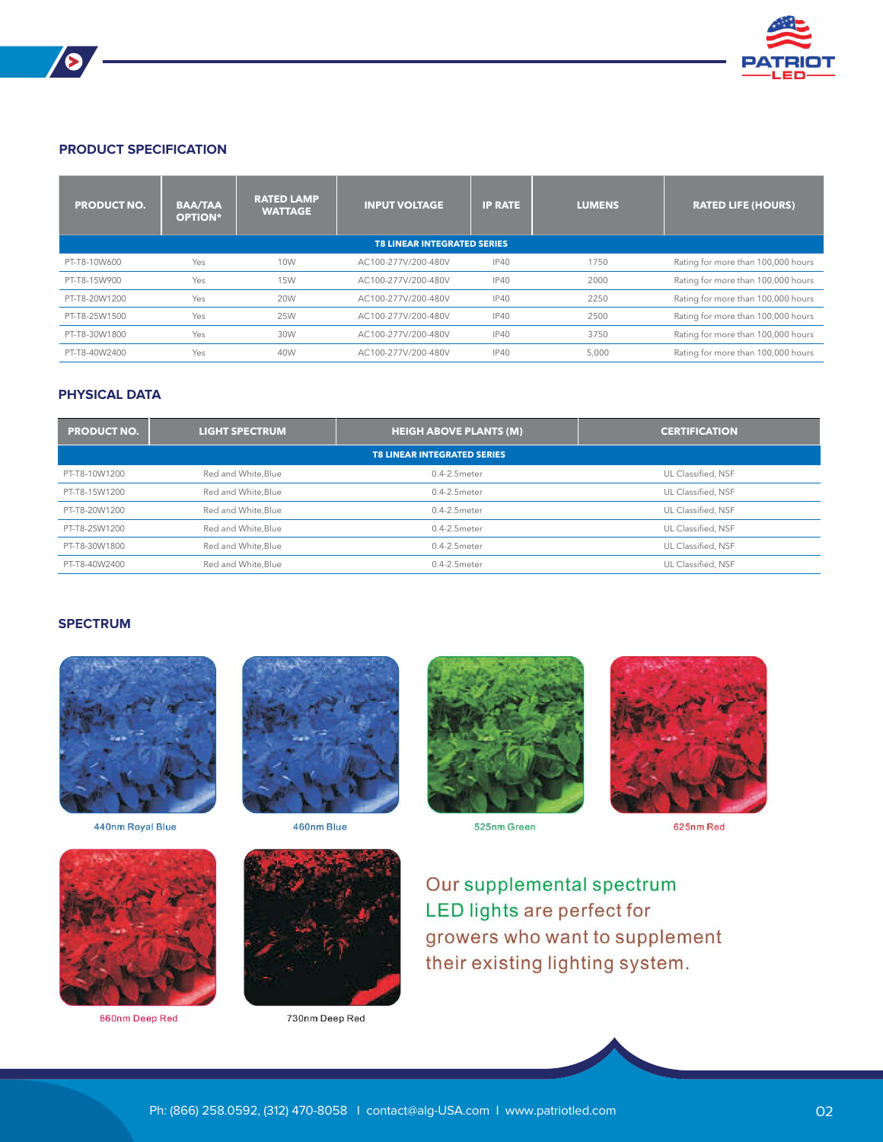

#### **PRODUCT SPECIFICATION**

 $\blacktriangleright$ 

| <b>PRODUCT NO.</b>                 | <b>BAA/TAA</b><br><b>OPTION*</b> | <b>RATED LAMP</b><br><b>WATTAGE</b> | <b>INPUT VOLTAGE</b> | <b>IP RATE</b> | <b>LUMENS</b> | <b>RATED LIFE (HOURS)</b>          |  |
|------------------------------------|----------------------------------|-------------------------------------|----------------------|----------------|---------------|------------------------------------|--|
| <b>T8 LINEAR INTEGRATED SERIES</b> |                                  |                                     |                      |                |               |                                    |  |
| PT-T8-10W600                       | Yes                              | 10W                                 | AC100-277V/200-480V  | <b>IP40</b>    | 1750          | Rating for more than 100,000 hours |  |
| PT-T8-15W900                       | Yes                              | <b>15W</b>                          | AC100-277V/200-480V  | <b>IP40</b>    | 2000          | Rating for more than 100,000 hours |  |
| PT-T8-20W1200                      | Yes                              | <b>20W</b>                          | AC100-277V/200-480V  | IP40           | 2250          | Rating for more than 100,000 hours |  |
| PT-T8-25W1500                      | Yes                              | 25W                                 | AC100-277V/200-480V  | IP40           | 2500          | Rating for more than 100,000 hours |  |
| PT-T8-30W1800                      | Yes                              | 30W                                 | AC100-277V/200-480V  | IP40           | 3750          | Rating for more than 100,000 hours |  |
| PT-T8-40W2400                      | Yes                              | 40W                                 | AC100-277V/200-480V  | <b>IP40</b>    | 5,000         | Rating for more than 100,000 hours |  |

## **PHYSICAL DATA**

| <b>PRODUCT NO.</b>                 | <b>LIGHT SPECTRUM</b> | <b>HEIGH ABOVE PLANTS (M)</b> | <b>CERTIFICATION</b> |  |  |  |  |
|------------------------------------|-----------------------|-------------------------------|----------------------|--|--|--|--|
| <b>T8 LINEAR INTEGRATED SERIES</b> |                       |                               |                      |  |  |  |  |
| PT-T8-10W1200                      | Red and White, Blue   | 0.4-2.5 meter                 | UL Classified, NSF   |  |  |  |  |
| PT-T8-15W1200                      | Red and White, Blue   | $0.4 - 2.5$ meter             | UL Classified, NSF   |  |  |  |  |
| PT-T8-20W1200                      | Red and White, Blue   | $0.4 - 2.5$ meter             | UL Classified, NSF   |  |  |  |  |
| PT-T8-25W1200                      | Red and White, Blue   | 0.4-2.5meter                  | UL Classified, NSF   |  |  |  |  |
| PT-T8-30W1800                      | Red and White, Blue   | 0.4-2.5meter                  | UL Classified, NSF   |  |  |  |  |
| PT-T8-40W2400                      | Red and White.Blue    | $0.4 - 2.5$ meter             | UL Classified, NSF   |  |  |  |  |

## **SPECTRUM**



440nm Royal Blue



660nm Deep Red





730nm Deep Red



525nm Green



625nm Red

Our supplemental spectrum LED lights are perfect for growers who want to supplement their existing lighting system.